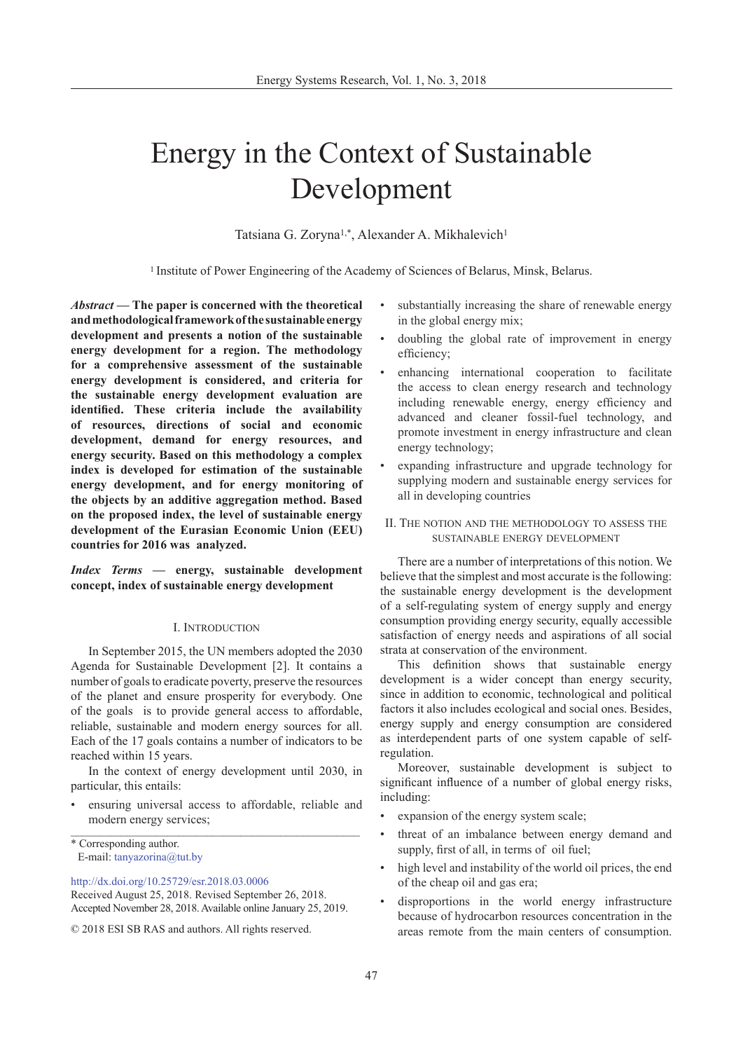# Energy in the Context of Sustainable Development

Tatsiana G. Zoryna<sup>1,\*</sup>, Alexander A. Mikhalevich<sup>1</sup>

<sup>1</sup> Institute of Power Engineering of the Academy of Sciences of Belarus, Minsk, Belarus.

*Abstract —* **The paper is concerned with the theoretical and methodological framework of the sustainable energy development and presents a notion of the sustainable energy development for a region. The methodology for a comprehensive assessment of the sustainable energy development is considered, and criteria for the sustainable energy development evaluation are identified. These criteria include the availability of resources, directions of social and economic development, demand for energy resources, and energy security. Based on this methodology a complex index is developed for estimation of the sustainable energy development, and for energy monitoring of the objects by an additive aggregation method. Based on the proposed index, the level of sustainable energy development of the Eurasian Economic Union (EEU) countries for 2016 was analyzed.** 

*Index Terms —* **energy, sustainable development concept, index of sustainable energy development**

### I. Introduction

In September 2015, the UN members adopted the 2030 Agenda for Sustainable Development [2]. It contains a number of goals to eradicate poverty, preserve the resources of the planet and ensure prosperity for everybody. One of the goals is to provide general access to affordable, reliable, sustainable and modern energy sources for all. Each of the 17 goals contains a number of indicators to be reached within 15 years.

In the context of energy development until 2030, in particular, this entails:

• ensuring universal access to affordable, reliable and modern energy services;

\* Corresponding author. E-mail: [tanyazorina@tut.by](mailto:tanyazorina@tut.by) 

[http://dx.doi.org/10.25729/esr.2018.03.000](http://dx.doi.org/10.25729/esr.2018.01.0006)6

© 2018 ESI SB RAS and authors. All rights reserved.

- substantially increasing the share of renewable energy in the global energy mix;
- doubling the global rate of improvement in energy efficiency;
- enhancing international cooperation to facilitate the access to clean energy research and technology including renewable energy, energy efficiency and advanced and cleaner fossil-fuel technology, and promote investment in energy infrastructure and clean energy technology;
- expanding infrastructure and upgrade technology for supplying modern and sustainable energy services for all in developing countries
- II. The notion and the methodology to assess the sustainable energy development

There are a number of interpretations of this notion. We believe that the simplest and most accurate is the following: the sustainable energy development is the development of a self-regulating system of energy supply and energy consumption providing energy security, equally accessible satisfaction of energy needs and aspirations of all social strata at conservation of the environment.

This definition shows that sustainable energy development is a wider concept than energy security, since in addition to economic, technological and political factors it also includes ecological and social ones. Besides, energy supply and energy consumption are considered as interdependent parts of one system capable of selfregulation.

Moreover, sustainable development is subject to significant influence of a number of global energy risks, including:

- expansion of the energy system scale;
- threat of an imbalance between energy demand and supply, first of all, in terms of oil fuel;
- high level and instability of the world oil prices, the end of the cheap oil and gas era;
- disproportions in the world energy infrastructure because of hydrocarbon resources concentration in the areas remote from the main centers of consumption.

Received August 25, 2018. Revised September 26, 2018. Accepted November 28, 2018. Available online January 25, 2019.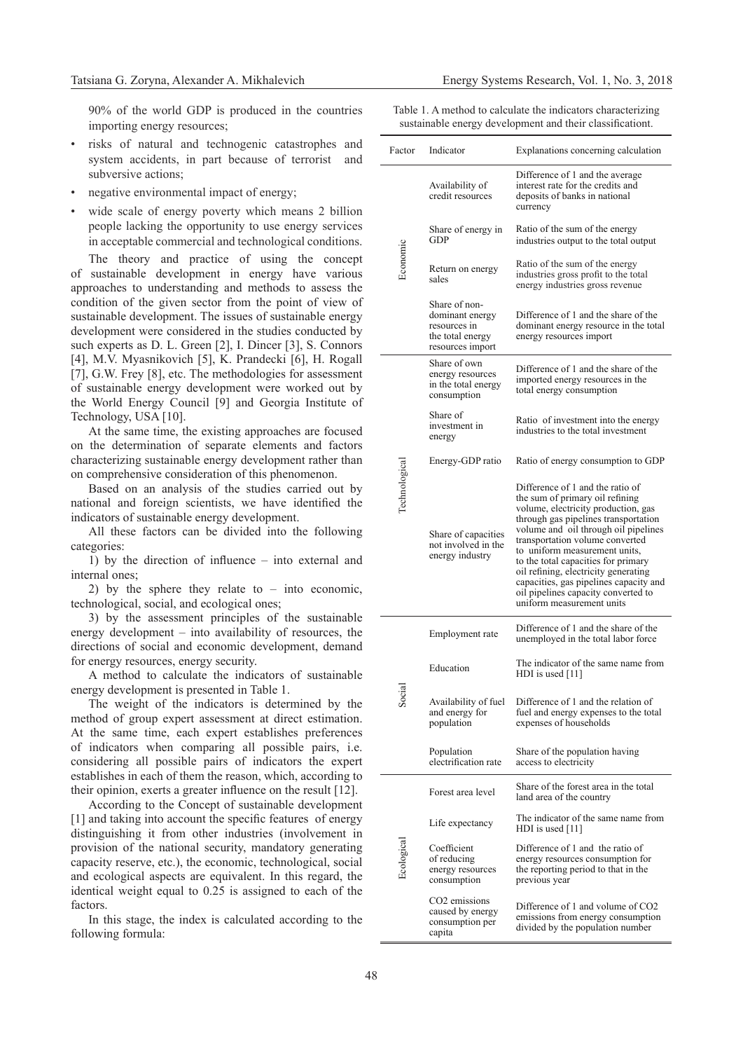90% of the world GDP is produced in the countries importing energy resources;

- risks of natural and technogenic catastrophes and system accidents, in part because of terrorist and subversive actions:
- negative environmental impact of energy;
- wide scale of energy poverty which means 2 billion people lacking the opportunity to use energy services in acceptable commercial and technological conditions.

The theory and practice of using the concept of sustainable development in energy have various approaches to understanding and methods to assess the condition of the given sector from the point of view of sustainable development. The issues of sustainable energy development were considered in the studies conducted by such experts as D. L. Green [2], I. Dincer [3], S. Connors [4], M.V. Myasnikovich [5], K. Prandecki [6], H. Rogall [7], G.W. Frey [8], etc. The methodologies for assessment of sustainable energy development were worked out by the World Energy Council [9] and Georgia Institute of Technology, USA [10].

At the same time, the existing approaches are focused on the determination of separate elements and factors characterizing sustainable energy development rather than on comprehensive consideration of this phenomenon.

Based on an analysis of the studies carried out by national and foreign scientists, we have identified the indicators of sustainable energy development.

All these factors can be divided into the following categories:

1) by the direction of influence – into external and internal ones;

2) by the sphere they relate to – into economic, technological, social, and ecological ones;

3) by the assessment principles of the sustainable energy development – into availability of resources, the directions of social and economic development, demand for energy resources, energy security.

A method to calculate the indicators of sustainable energy development is presented in Table 1.

The weight of the indicators is determined by the method of group expert assessment at direct estimation. At the same time, each expert establishes preferences of indicators when comparing all possible pairs, i.e. considering all possible pairs of indicators the expert establishes in each of them the reason, which, according to their opinion, exerts a greater influence on the result [12].

According to the Concept of sustainable development [1] and taking into account the specific features of energy distinguishing it from other industries (involvement in provision of the national security, mandatory generating capacity reserve, etc.), the economic, technological, social and ecological aspects are equivalent. In this regard, the identical weight equal to 0.25 is assigned to each of the factors.

In this stage, the index is calculated according to the following formula:

|  | Table 1. A method to calculate the indicators characterizing |  |  |  |  |
|--|--------------------------------------------------------------|--|--|--|--|
|  | sustainable energy development and their classificationt.    |  |  |  |  |

| Factor        | Indicator                                                                                | Explanations concerning calculation                                                                                                                                                                                                                                                                                                                                                                                                                         |  |  |  |
|---------------|------------------------------------------------------------------------------------------|-------------------------------------------------------------------------------------------------------------------------------------------------------------------------------------------------------------------------------------------------------------------------------------------------------------------------------------------------------------------------------------------------------------------------------------------------------------|--|--|--|
|               | Availability of<br>credit resources                                                      | Difference of 1 and the average<br>interest rate for the credits and<br>deposits of banks in national<br>currency                                                                                                                                                                                                                                                                                                                                           |  |  |  |
| Economic      | Share of energy in<br>GDP                                                                | Ratio of the sum of the energy<br>industries output to the total output                                                                                                                                                                                                                                                                                                                                                                                     |  |  |  |
|               | Return on energy<br>sales                                                                | Ratio of the sum of the energy<br>industries gross profit to the total<br>energy industries gross revenue                                                                                                                                                                                                                                                                                                                                                   |  |  |  |
|               | Share of non-<br>dominant energy<br>resources in<br>the total energy<br>resources import | Difference of 1 and the share of the<br>dominant energy resource in the total<br>energy resources import                                                                                                                                                                                                                                                                                                                                                    |  |  |  |
|               | Share of own<br>energy resources<br>in the total energy<br>consumption                   | Difference of 1 and the share of the<br>imported energy resources in the<br>total energy consumption                                                                                                                                                                                                                                                                                                                                                        |  |  |  |
|               | Share of<br>investment in<br>energy                                                      | Ratio of investment into the energy<br>industries to the total investment                                                                                                                                                                                                                                                                                                                                                                                   |  |  |  |
|               | Energy-GDP ratio                                                                         | Ratio of energy consumption to GDP                                                                                                                                                                                                                                                                                                                                                                                                                          |  |  |  |
| Technological | Share of capacities<br>not involved in the<br>energy industry                            | Difference of 1 and the ratio of<br>the sum of primary oil refining<br>volume, electricity production, gas<br>through gas pipelines transportation<br>volume and oil through oil pipelines<br>transportation volume converted<br>to uniform measurement units,<br>to the total capacities for primary<br>oil refining, electricity generating<br>capacities, gas pipelines capacity and<br>oil pipelines capacity converted to<br>uniform measurement units |  |  |  |
|               | Employment rate                                                                          | Difference of 1 and the share of the<br>unemployed in the total labor force                                                                                                                                                                                                                                                                                                                                                                                 |  |  |  |
|               | Education                                                                                | The indicator of the same name from<br>HDI is used [11]                                                                                                                                                                                                                                                                                                                                                                                                     |  |  |  |
| ડે            | Availability of fuel<br>and energy for<br>population                                     | Difference of 1 and the relation of<br>fuel and energy expenses to the total<br>expenses of households                                                                                                                                                                                                                                                                                                                                                      |  |  |  |
|               | Population<br>electrification rate                                                       | Share of the population having<br>access to electricity                                                                                                                                                                                                                                                                                                                                                                                                     |  |  |  |
|               | Forest area level                                                                        | Share of the forest area in the total<br>land area of the country                                                                                                                                                                                                                                                                                                                                                                                           |  |  |  |
|               | Life expectancy                                                                          | The indicator of the same name from<br>HDI is used [11]                                                                                                                                                                                                                                                                                                                                                                                                     |  |  |  |
| Ecological    | Coefficient<br>of reducing<br>energy resources<br>consumption                            | Difference of 1 and the ratio of<br>energy resources consumption for<br>the reporting period to that in the<br>previous year                                                                                                                                                                                                                                                                                                                                |  |  |  |
|               | CO <sub>2</sub> emissions<br>caused by energy<br>consumption per<br>capita               | Difference of 1 and volume of CO2<br>emissions from energy consumption<br>divided by the population number                                                                                                                                                                                                                                                                                                                                                  |  |  |  |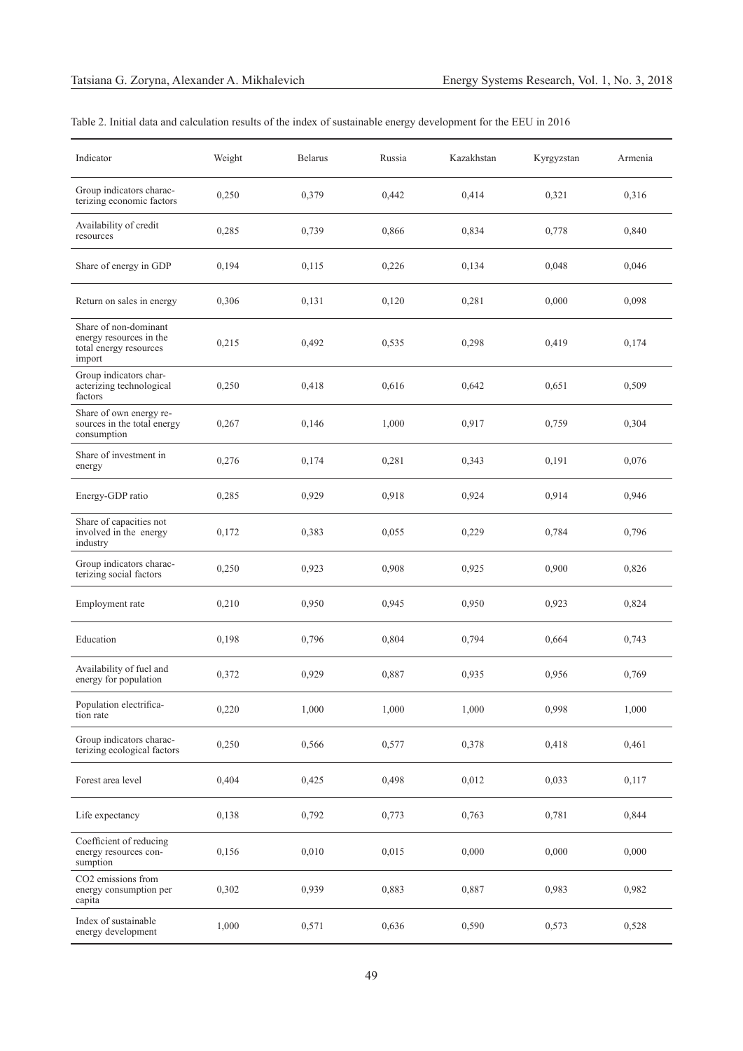| Indicator                                                                            | Weight | <b>Belarus</b> | Russia | Kazakhstan | Kyrgyzstan | Armenia |
|--------------------------------------------------------------------------------------|--------|----------------|--------|------------|------------|---------|
| Group indicators charac-<br>terizing economic factors                                | 0,250  | 0,379          | 0,442  | 0,414      | 0,321      | 0,316   |
| Availability of credit<br>resources                                                  | 0,285  | 0,739          | 0,866  | 0,834      | 0,778      | 0,840   |
| Share of energy in GDP                                                               | 0,194  | 0,115          | 0,226  | 0,134      | 0,048      | 0,046   |
| Return on sales in energy                                                            | 0,306  | 0,131          | 0,120  | 0,281      | 0,000      | 0,098   |
| Share of non-dominant<br>energy resources in the<br>total energy resources<br>import | 0,215  | 0,492          | 0,535  | 0,298      | 0,419      | 0,174   |
| Group indicators char-<br>acterizing technological<br>factors                        | 0,250  | 0,418          | 0,616  | 0,642      | 0,651      | 0,509   |
| Share of own energy re-<br>sources in the total energy<br>consumption                | 0,267  | 0,146          | 1,000  | 0,917      | 0,759      | 0,304   |
| Share of investment in<br>energy                                                     | 0,276  | 0,174          | 0,281  | 0,343      | 0,191      | 0,076   |
| Energy-GDP ratio                                                                     | 0,285  | 0,929          | 0,918  | 0,924      | 0,914      | 0,946   |
| Share of capacities not<br>involved in the energy<br>industry                        | 0,172  | 0,383          | 0,055  | 0,229      | 0,784      | 0,796   |
| Group indicators charac-<br>terizing social factors                                  | 0,250  | 0,923          | 0,908  | 0,925      | 0,900      | 0,826   |
| Employment rate                                                                      | 0,210  | 0,950          | 0,945  | 0,950      | 0,923      | 0,824   |
| Education                                                                            | 0,198  | 0,796          | 0,804  | 0,794      | 0,664      | 0,743   |
| Availability of fuel and<br>energy for population                                    | 0,372  | 0,929          | 0,887  | 0,935      | 0,956      | 0,769   |
| Population electrifica-<br>tion rate                                                 | 0,220  | 1,000          | 1,000  | 1,000      | 0,998      | 1,000   |
| Group indicators charac-<br>terizing ecological factors                              | 0,250  | 0,566          | 0,577  | 0,378      | 0,418      | 0,461   |
| Forest area level                                                                    | 0,404  | 0,425          | 0,498  | 0,012      | 0,033      | 0,117   |
| Life expectancy                                                                      | 0,138  | 0,792          | 0,773  | 0,763      | 0,781      | 0,844   |
| Coefficient of reducing<br>energy resources con-<br>sumption                         | 0,156  | 0,010          | 0,015  | 0,000      | 0,000      | 0,000   |
| CO2 emissions from<br>energy consumption per<br>capita                               | 0,302  | 0,939          | 0,883  | 0,887      | 0,983      | 0,982   |
| Index of sustainable<br>energy development                                           | 1,000  | 0,571          | 0,636  | 0,590      | 0,573      | 0,528   |

## Table 2. Initial data and calculation results of the index of sustainable energy development for the EEU in 2016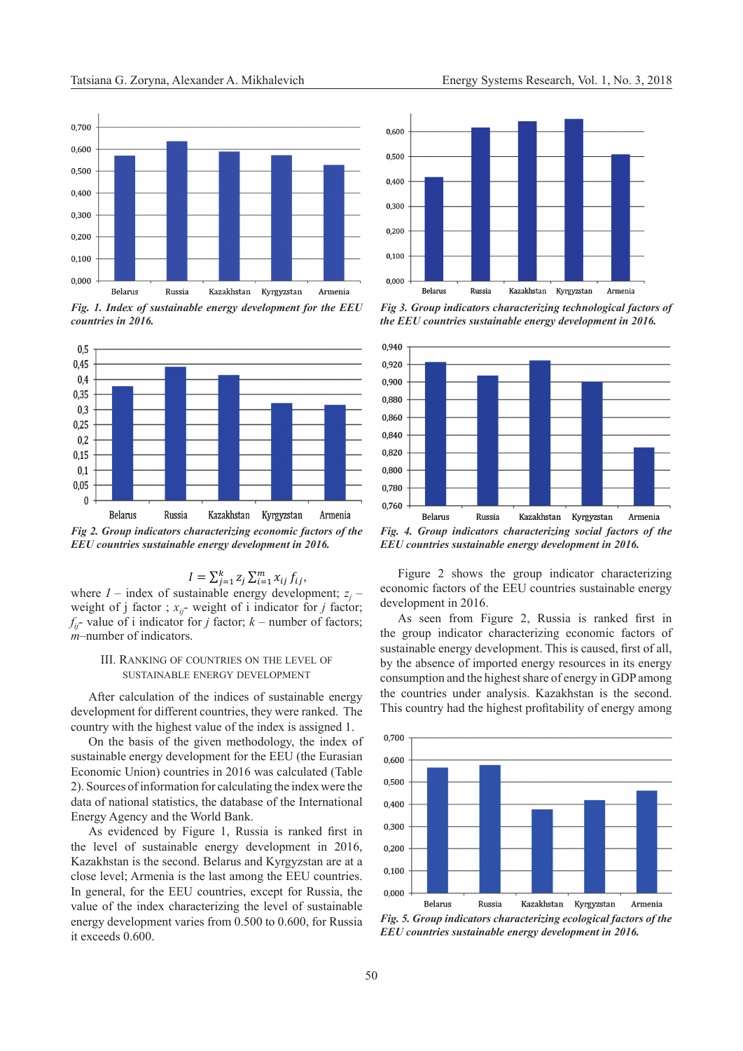

*Fig. 1. Index of sustainable energy development for the EEU countries in 2016.*



*Fig 2. Group indicators characterizing economic factors of the EEU countries sustainable energy development in 2016.*

## $I = \sum_{j=1}^{k} z_j \sum_{i=1}^{m} x_{ij} f_{ij},$

where  $I$  – index of sustainable energy development;  $z_j$  – weight of j factor ;  $x_{ij}$ - weight of i indicator for *j* factor;  $f_{ii}$ - value of *i* indicator for *j* factor;  $k$  – number of factors; *m*–number of indicators.

## III. Ranking of countries on the level of sustainable energy development

After calculation of the indices of sustainable energy development for different countries, they were ranked. The country with the highest value of the index is assigned 1.

On the basis of the given methodology, the index of sustainable energy development for the EEU (the Eurasian Economic Union) countries in 2016 was calculated (Table 2). Sources of information for calculating the index were the data of national statistics, the database of the International Energy Agency and the World Bank.

As evidenced by Figure 1, Russia is ranked first in the level of sustainable energy development in 2016, Kazakhstan is the second. Belarus and Kyrgyzstan are at a close level; Armenia is the last among the EEU countries. In general, for the EEU countries, except for Russia, the value of the index characterizing the level of sustainable energy development varies from 0.500 to 0.600, for Russia it exceeds 0.600.



*Fig 3. Group indicators characterizing technological factors of the EEU countries sustainable energy development in 2016.*



*Fig. 4. Group indicators characterizing social factors of the EEU countries sustainable energy development in 2016.*

Figure 2 shows the group indicator characterizing economic factors of the EEU countries sustainable energy development in 2016.

As seen from Figure 2, Russia is ranked first in the group indicator characterizing economic factors of sustainable energy development. This is caused, first of all, by the absence of imported energy resources in its energy consumption and the highest share of energy in GDP among the countries under analysis. Kazakhstan is the second. This country had the highest profitability of energy among



*Fig. 5. Group indicators characterizing ecological factors of the EEU countries sustainable energy development in 2016.*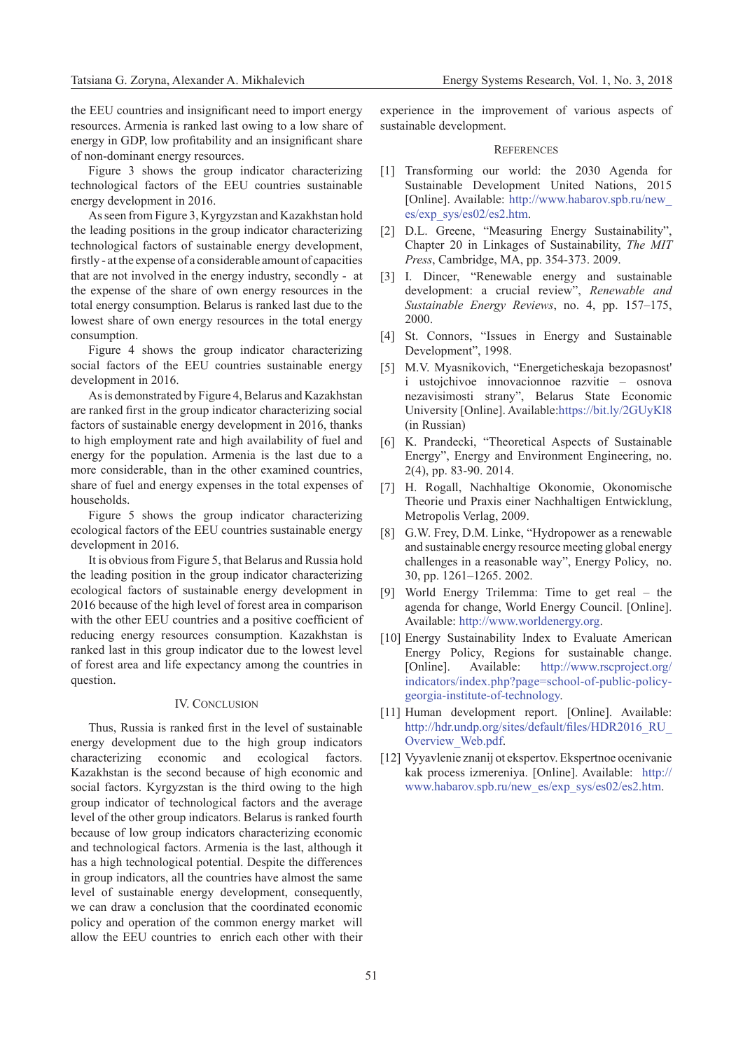the EEU countries and insignificant need to import energy resources. Armenia is ranked last owing to a low share of energy in GDP, low profitability and an insignificant share of non-dominant energy resources.

Figure 3 shows the group indicator characterizing technological factors of the EEU countries sustainable energy development in 2016.

As seen from Figure 3, Kyrgyzstan and Kazakhstan hold the leading positions in the group indicator characterizing technological factors of sustainable energy development, firstly - at the expense of a considerable amount of capacities that are not involved in the energy industry, secondly - at the expense of the share of own energy resources in the total energy consumption. Belarus is ranked last due to the lowest share of own energy resources in the total energy consumption.

Figure 4 shows the group indicator characterizing social factors of the EEU countries sustainable energy development in 2016.

As is demonstrated by Figure 4, Belarus and Kazakhstan are ranked first in the group indicator characterizing social factors of sustainable energy development in 2016, thanks to high employment rate and high availability of fuel and energy for the population. Armenia is the last due to a more considerable, than in the other examined countries, share of fuel and energy expenses in the total expenses of households.

Figure 5 shows the group indicator characterizing ecological factors of the EEU countries sustainable energy development in 2016.

It is obvious from Figure 5, that Belarus and Russia hold the leading position in the group indicator characterizing ecological factors of sustainable energy development in 2016 because of the high level of forest area in comparison with the other EEU countries and a positive coefficient of reducing energy resources consumption. Kazakhstan is ranked last in this group indicator due to the lowest level of forest area and life expectancy among the countries in question.

## IV. CONCLUSION

Thus, Russia is ranked first in the level of sustainable energy development due to the high group indicators characterizing economic and ecological factors. Kazakhstan is the second because of high economic and social factors. Kyrgyzstan is the third owing to the high group indicator of technological factors and the average level of the other group indicators. Belarus is ranked fourth because of low group indicators characterizing economic and technological factors. Armenia is the last, although it has a high technological potential. Despite the differences in group indicators, all the countries have almost the same level of sustainable energy development, consequently, we can draw a conclusion that the coordinated economic policy and operation of the common energy market will allow the EEU countries to enrich each other with their

experience in the improvement of various aspects of sustainable development.

#### **REFERENCES**

- [1] Transforming our world: the 2030 Agenda for Sustainable Development United Nations, 2015 [Online]. Available: [http://www.habarov.spb.ru/new\\_](http://www.habarov.spb.ru/new_es/exp_sys/es02/es2.htm) [es/exp\\_sys/es02/es2.htm](http://www.habarov.spb.ru/new_es/exp_sys/es02/es2.htm).
- [2] D.L. Greene, "Measuring Energy Sustainability", Chapter 20 in Linkages of Sustainability, *The MIT Press*, Cambridge, MA, pp. 354-373. 2009.
- [3] I. Dincer, "Renewable energy and sustainable development: a crucial review", *Renewable and Sustainable Energy Reviews*, no. 4, pp. 157–175, 2000.
- [4] St. Connors, "Issues in Energy and Sustainable Development", 1998.
- [5] M.V. Myasnikovich, "Energeticheskaja bezopasnost' i ustojchivoe innovacionnoe razvitie – osnova nezavisimosti strany", Belarus State Economic University [Online]. Available:https://bit.ly/2GUyKl8 (in Russian)
- [6] K. Prandecki, "Theoretical Aspects of Sustainable Energy", Energy and Environment Engineering, no. 2(4), pp. 83-90. 2014.
- [7] H. Rogall, Nachhaltige Okonomie, Okonomische Theorie und Praxis einer Nachhaltigen Entwicklung, Metropolis Verlag, 2009.
- [8] G.W. Frey, D.M. Linke, "Hydropower as a renewable and sustainable energy resource meeting global energy challenges in a reasonable way", Energy Policy, no. 30, pp. 1261–1265. 2002.
- [9] World Energy Trilemma: Time to get real the agenda for change, World Energy Council. [Online]. Available: [http://www.worldenergy.org.](http://www.worldenergy.org)
- [10] Energy Sustainability Index to Evaluate American Energy Policy, Regions for sustainable change. [Online]. Available: [http://www.rscproject.org/](http://www.rscproject.org/indicators/index.php?page=school-of-public-policy-georgia-institute-of-technology) [indicators/index.php?page=school-of-public-policy](http://www.rscproject.org/indicators/index.php?page=school-of-public-policy-georgia-institute-of-technology)[georgia-institute-of-technology.](http://www.rscproject.org/indicators/index.php?page=school-of-public-policy-georgia-institute-of-technology)
- [11] Human development report. [Online]. Available: [http://hdr.undp.org/sites/default/files/HDR2016\\_RU\\_](http://hdr.undp.org/sites/default/files/HDR2016_RU_Overview_Web.pdf) [Overview\\_Web.pdf.](http://hdr.undp.org/sites/default/files/HDR2016_RU_Overview_Web.pdf)
- [12] Vyyavlenie znanij ot ekspertov. Ekspertnoe ocenivanie kak process izmereniya. [Online]. Available: [http://](http://www.habarov.spb.ru/new_es/exp_sys/es02/es2.htm) [www.habarov.spb.ru/new\\_es/exp\\_sys/es02/es2.htm.](http://www.habarov.spb.ru/new_es/exp_sys/es02/es2.htm)